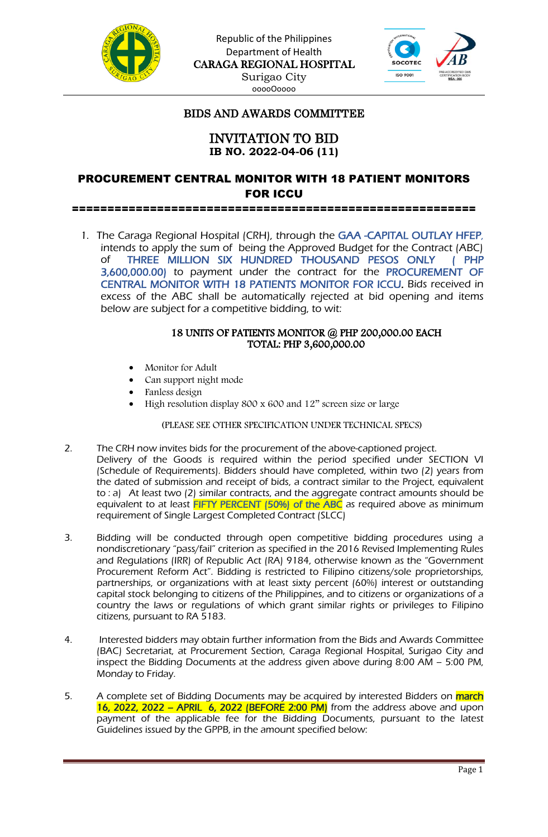



## BIDS AND AWARDS COMMITTEE

### INVITATION TO BID **IB NO. 2022-04-06 (11)**

# PROCUREMENT CENTRAL MONITOR WITH 18 PATIENT MONITORS FOR ICCU

=========================================================

1. The Caraga Regional Hospital (CRH), through the GAA -CAPITAL OUTLAY HFEP, intends to apply the sum of being the Approved Budget for the Contract (ABC) of THREE MILLION SIX HUNDRED THOUSAND PESOS ONLY ( PHP 3,600,000.00) to payment under the contract for the PROCUREMENT OF CENTRAL MONITOR WITH 18 PATIENTS MONITOR FOR ICCU. Bids received in excess of the ABC shall be automatically rejected at bid opening and items below are subject for a competitive bidding, to wit:

#### 18 UNITS OF PATIENTS MONITOR @ PHP 200,000.00 EACH TOTAL: PHP 3,600,000.00

- Monitor for Adult
- Can support night mode
- Fanless design
- High resolution display 800 x 600 and 12" screen size or large

#### (PLEASE SEE OTHER SPECIFICATION UNDER TECHNICAL SPECS)

- 2. The CRH now invites bids for the procurement of the above-captioned project. Delivery of the Goods is required within the period specified under SECTION VI (Schedule of Requirements). Bidders should have completed, within two (2) years from the dated of submission and receipt of bids, a contract similar to the Project, equivalent to : a) At least two (2) similar contracts, and the aggregate contract amounts should be equivalent to at least FIFTY PERCENT (50%) of the ABC as required above as minimum requirement of Single Largest Completed Contract (SLCC)
- 3. Bidding will be conducted through open competitive bidding procedures using a nondiscretionary "pass/fail" criterion as specified in the 2016 Revised Implementing Rules and Regulations (IRR) of Republic Act (RA) 9184, otherwise known as the "Government Procurement Reform Act". Bidding is restricted to Filipino citizens/sole proprietorships, partnerships, or organizations with at least sixty percent (60%) interest or outstanding capital stock belonging to citizens of the Philippines, and to citizens or organizations of a country the laws or regulations of which grant similar rights or privileges to Filipino citizens, pursuant to RA 5183.
- 4. Interested bidders may obtain further information from the Bids and Awards Committee (BAC) Secretariat, at Procurement Section, Caraga Regional Hospital, Surigao City and inspect the Bidding Documents at the address given above during 8:00 AM – 5:00 PM, Monday to Friday.
- 5. A complete set of Bidding Documents may be acquired by interested Bidders on march 16, 2022, 2022 – APRIL 6, 2022 (BEFORE 2:00 PM) from the address above and upon payment of the applicable fee for the Bidding Documents, pursuant to the latest Guidelines issued by the GPPB, in the amount specified below: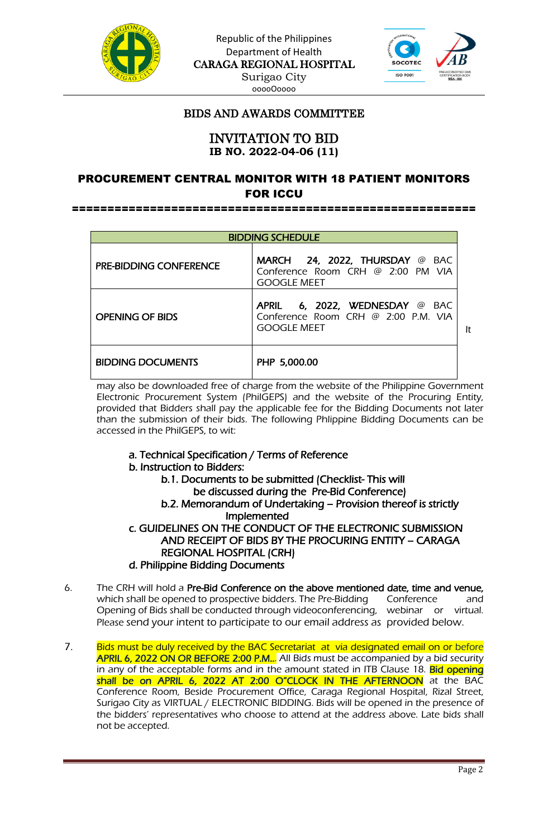

Republic of the Philippines Department of Health CARAGA REGIONAL HOSPITAL Surigao City ooooOoooo



## BIDS AND AWARDS COMMITTEE

### INVITATION TO BID **IB NO. 2022-04-06 (11)**

## PROCUREMENT CENTRAL MONITOR WITH 18 PATIENT MONITORS FOR ICCU

=========================================================

|                               | <b>BIDDING SCHEDULE</b>                                                                   |    |
|-------------------------------|-------------------------------------------------------------------------------------------|----|
| <b>PRE-BIDDING CONFERENCE</b> | MARCH 24, 2022, THURSDAY @ BAC<br>Conference Room CRH @ 2:00 PM VIA<br><b>GOOGLE MEET</b> |    |
| OPENING OF BIDS               | APRIL 6, 2022, WEDNESDAY @ BAC<br>Conference Room CRH @ 2:00 P.M. VIA<br>GOOGLE MEET      | It |
| <b>BIDDING DOCUMENTS</b>      | PHP 5,000.00                                                                              |    |

may also be downloaded free of charge from the website of the Philippine Government Electronic Procurement System (PhilGEPS) and the website of the Procuring Entity, provided that Bidders shall pay the applicable fee for the Bidding Documents not later than the submission of their bids. The following Phlippine Bidding Documents can be accessed in the PhilGEPS, to wit:

#### a. Technical Specification / Terms of Reference

#### b. Instruction to Bidders:

b.1. Documents to be submitted (Checklist- This will be discussed during the Pre-Bid Conference) b.2. Memorandum of Undertaking – Provision thereof is strictly Implemented c. GUIDELINES ON THE CONDUCT OF THE ELECTRONIC SUBMISSION AND RECEIPT OF BIDS BY THE PROCURING ENTITY – CARAGA REGIONAL HOSPITAL (CRH)

#### d. Philippine Bidding Documents

- 6. The CRH will hold a Pre-Bid Conference on the above mentioned date, time and venue, which shall be opened to prospective bidders. The Pre-Bidding Conference and Opening of Bids shall be conducted through videoconferencing, webinar or virtual. Please send your intent to participate to our email address as provided below.
- 7. Bids must be duly received by the BAC Secretariat at via designated email on or before APRIL 6, 2022 ON OR BEFORE 2:00 P.M... All Bids must be accompanied by a bid security in any of the acceptable forms and in the amount stated in ITB Clause 18. Bid opening shall be on APRIL 6, 2022 AT 2:00 O"CLOCK IN THE AFTERNOON at the BAC Conference Room, Beside Procurement Office, Caraga Regional Hospital, Rizal Street, Surigao City as VIRTUAL / ELECTRONIC BIDDING. Bids will be opened in the presence of the bidders' representatives who choose to attend at the address above. Late bids shall not be accepted.